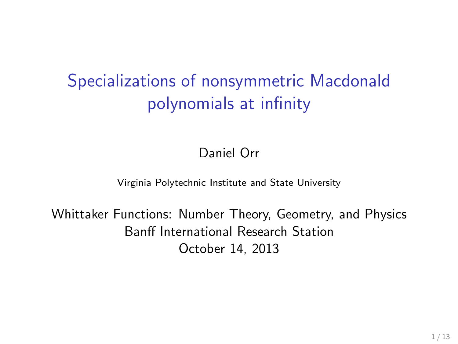# Specializations of nonsymmetric Macdonald polynomials at infinity

Daniel Orr

Virginia Polytechnic Institute and State University

Whittaker Functions: Number Theory, Geometry, and Physics Banff International Research Station October 14, 2013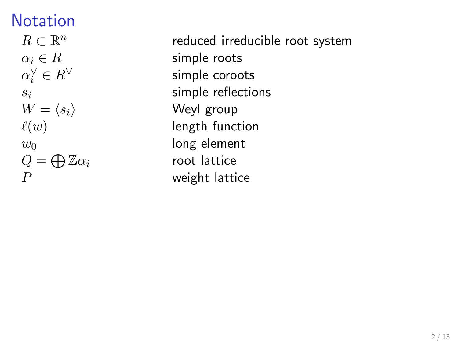# Notation

 $R \subset \mathbb{R}^n$  $\alpha_i \in R$  simple roots  $\alpha_i^\vee$  $W = \langle s_i \rangle$  Weyl group  $w_0$  long element  $Q = \bigoplus \mathbb{Z}\alpha_i$ 

reduced irreducible root system simple coroots  $s_i$  simple reflections  $\ell(w)$  length function root lattice  $P$  weight lattice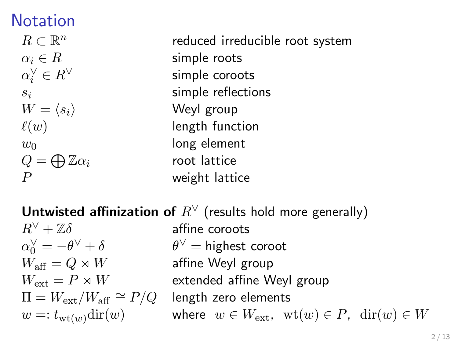# Notation

 $R \subset \mathbb{R}^n$  $\alpha_i \in R$  simple roots  $\alpha_i^\vee$  $W = \langle s_i \rangle$  Weyl group  $w_0$  long element  $Q = \bigoplus \mathbb{Z}\alpha_i$  $P$  weight lattice

reduced irreducible root system simple coroots  $s_i$  simple reflections  $\ell(w)$  length function root lattice

Untwisted affinization of  $R^{\vee}$  (results hold more generally)

 $R^{\vee} + \mathbb{Z}\delta$  affine coroots  $\alpha_0^{\vee} = -\theta$  $W_{\text{aff}} = Q \rtimes W$  affine Weyl group  $\Pi = W_{\text{ext}}/W_{\text{aff}} \cong P/Q$  length zero elements

 $\theta^{\vee}$  = highest coroot  $W_{\text{ext}} = P \rtimes W$  extended affine Weyl group  $w =: t_{\text{wt}(w)}\text{dir}(w)$  where  $w \in W_{\text{ext}}$ ,  $\text{wt}(w) \in P$ ,  $\text{dir}(w) \in W$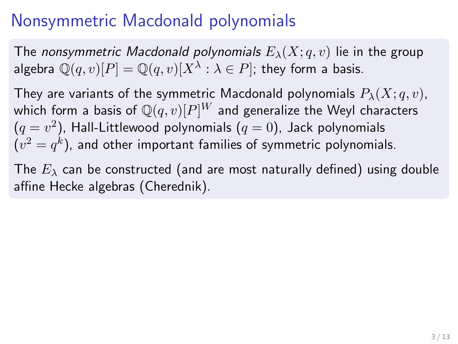# Nonsymmetric Macdonald polynomials

The nonsymmetric Macdonald polynomials  $E_{\lambda}(X; q, v)$  lie in the group algebra  $\mathbb{Q}(q,v)[P] = \mathbb{Q}(q,v)[X^\lambda : \lambda \in P]$ ; they form a basis.

They are variants of the symmetric Macdonald polynomials  $P_{\lambda}(X; q, v)$ , which form a basis of  $\mathbb{Q}(q, v)[P]^W$  and generalize the Weyl characters  $(q=v^2)$ , Hall-Littlewood polynomials  $(q=0)$ , Jack polynomials  $(v^2=q^k)$ , and other important families of symmetric polynomials.

The  $E_{\lambda}$  can be constructed (and are most naturally defined) using double affine Hecke algebras (Cherednik).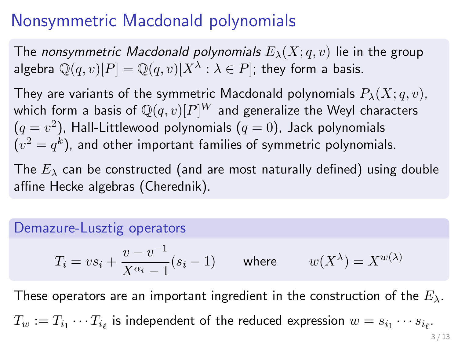## Nonsymmetric Macdonald polynomials

The nonsymmetric Macdonald polynomials  $E_{\lambda}(X; q, v)$  lie in the group algebra  $\mathbb{Q}(q,v)[P] = \mathbb{Q}(q,v)[X^\lambda : \lambda \in P]$ ; they form a basis.

They are variants of the symmetric Macdonald polynomials  $P_{\lambda}(X; q, v)$ , which form a basis of  $\mathbb{Q}(q, v)[P]^W$  and generalize the Weyl characters  $(q=v^2)$ , Hall-Littlewood polynomials  $(q=0)$ , Jack polynomials  $(v^2=q^k)$ , and other important families of symmetric polynomials.

The  $E_{\lambda}$  can be constructed (and are most naturally defined) using double affine Hecke algebras (Cherednik).

#### Demazure-Lusztig operators

$$
T_i = vs_i + \frac{v - v^{-1}}{X^{\alpha_i} - 1}(s_i - 1) \qquad \text{where} \qquad w(X^{\lambda}) = X^{w(\lambda)}
$$

These operators are an important ingredient in the construction of the  $E_{\lambda}$ .  $T_w:=T_{i_1}\cdots T_{i_\ell}$  is independent of the reduced expression  $w=s_{i_1}\cdots s_{i_\ell}.$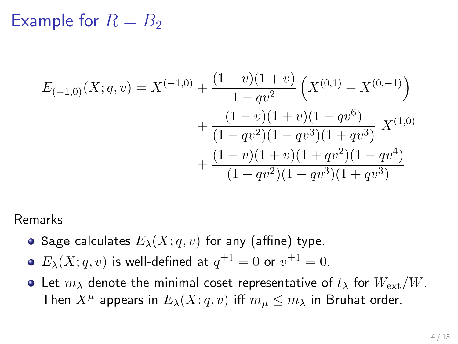$$
E_{(-1,0)}(X;q,v) = X^{(-1,0)} + \frac{(1-v)(1+v)}{1-qv^2} \left(X^{(0,1)} + X^{(0,-1)}\right) + \frac{(1-v)(1+v)(1-qv^6)}{(1-qv^2)(1-qv^3)(1+qv^3)} X^{(1,0)} + \frac{(1-v)(1+v)(1+qv^2)(1-qv^4)}{(1-qv^2)(1-qv^3)(1+qv^3)}
$$

#### Remarks

- Sage calculates  $E_{\lambda}(X; q, v)$  for any (affine) type.
- $E_{\lambda}(X;q,v)$  is well-defined at  $q^{\pm 1}=0$  or  $v^{\pm 1}=0.$
- Let  $m_{\lambda}$  denote the minimal coset representative of  $t_{\lambda}$  for  $W_{ext}/W$ . Then  $X^\mu$  appears in  $E_\lambda(X;q,v)$  iff  $m_\mu\leq m_\lambda$  in Bruhat order.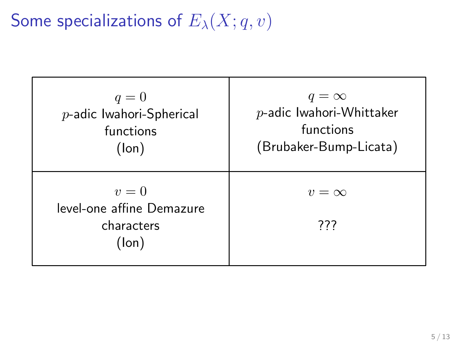# Some specializations of  $E_{\lambda}(X; q, v)$

| $q=0$                                                     | $q = \infty$                |
|-----------------------------------------------------------|-----------------------------|
| $p$ -adic Iwahori-Spherical                               | $p$ -adic Iwahori-Whittaker |
| functions                                                 | functions                   |
| (lon)                                                     | (Brubaker-Bump-Licata)      |
| $v=0$<br>level-one affine Demazure<br>characters<br>(lon) | $v = \infty$<br>777         |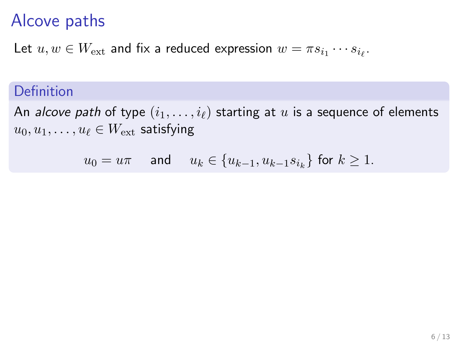### Alcove paths

Let  $u,w\in W_{\mathrm{ext}}$  and fix a reduced expression  $w=\pi s_{i_1}\cdots s_{i_\ell}.$ 

#### Definition

An alcove path of type  $(i_1, \ldots, i_\ell)$  starting at u is a sequence of elements  $u_0, u_1, \ldots, u_\ell \in W_{\text{ext}}$  satisfying

 $u_0 = u\pi$  and  $u_k \in \{u_{k-1}, u_{k-1}s_{i_k}\}$  for  $k \geq 1$ .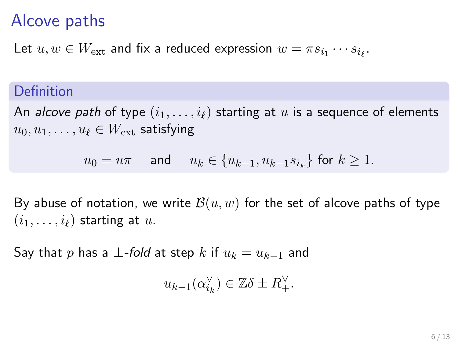### Alcove paths

Let  $u,w\in W_{\mathrm{ext}}$  and fix a reduced expression  $w=\pi s_{i_1}\cdots s_{i_\ell}.$ 

#### Definition

An alcove path of type  $(i_1, \ldots, i_\ell)$  starting at u is a sequence of elements  $u_0, u_1, \ldots, u_\ell \in W_{\text{ext}}$  satisfying

$$
u_0 = u\pi \quad \text{ and } \quad u_k \in \{u_{k-1}, u_{k-1}s_{i_k}\} \text{ for } k \ge 1.
$$

By abuse of notation, we write  $\mathcal{B}(u, w)$  for the set of alcove paths of type  $(i_1, \ldots, i_\ell)$  starting at u.

Say that p has a  $\pm$ -fold at step k if  $u_k = u_{k-1}$  and

$$
u_{k-1}(\alpha_{i_k}^{\vee}) \in \mathbb{Z}\delta \pm R^{\vee}_+.
$$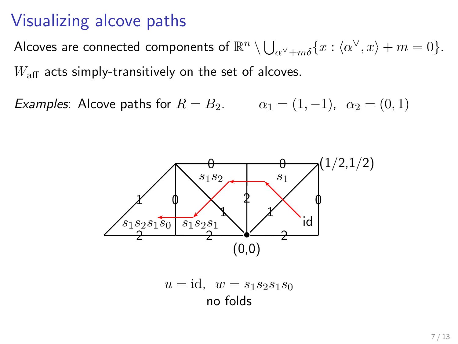### Visualizing alcove paths

Alcoves are connected components of  $\mathbb{R}^n \setminus \bigcup_{\alpha^\vee + m\delta} \{x : \langle \alpha^\vee, x \rangle + m = 0\}.$  $W_{\text{aff}}$  acts simply-transitively on the set of alcoves.

Examples: Alcove paths for  $R = B_2$ .  $\alpha_1 = (1, -1)$ ,  $\alpha_2 = (0, 1)$ 



$$
u = id, \quad w = s_1 s_2 s_1 s_0
$$
  
no folds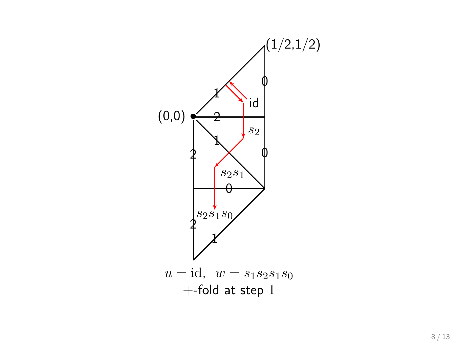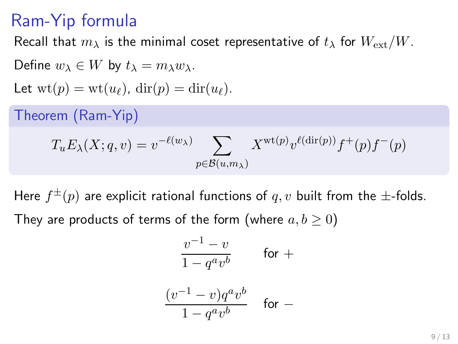## Ram-Yip formula

Recall that  $m_{\lambda}$  is the minimal coset representative of  $t_{\lambda}$  for  $W_{ext}/W$ .

Define 
$$
w_{\lambda} \in W
$$
 by  $t_{\lambda} = m_{\lambda}w_{\lambda}$ .  
\nLet  $wt(p) = wt(u_{\ell})$ ,  $dir(p) = dir(u_{\ell})$ .  
\nTheorem (Ram-Yip)  
\n
$$
T_u E_{\lambda}(X; q, v) = v^{-\ell(w_{\lambda})} \sum_{p \in \mathcal{B}(u, m_{\lambda})} X^{wt(p)} v^{\ell(dir(p))} f^+(p) f^-(p)
$$

Here  $f^\pm(p)$  are explicit rational functions of  $q,v$  built from the  $\pm$ -folds. They are products of terms of the form (where  $a, b \ge 0$ )

$$
\frac{v^{-1}-v}{1-q^av^b}\qquad\text{for }+
$$

$$
\frac{(v^{-1}-v)q^av^b}{1-q^av^b}\quad\text{ for }-
$$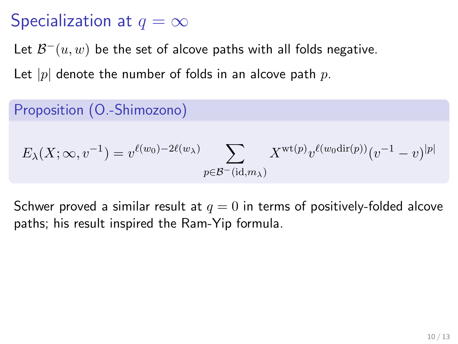# Specialization at  $q = \infty$

Let  $\mathcal{B}^-(u,w)$  be the set of alcove paths with all folds negative.

Let  $|p|$  denote the number of folds in an alcove path p.

#### Proposition (O.-Shimozono)

$$
E_{\lambda}(X; \infty, v^{-1}) = v^{\ell(w_0) - 2\ell(w_{\lambda})} \sum_{p \in \mathcal{B}^-(\mathrm{id}, m_{\lambda})} X^{\mathrm{wt}(p)} v^{\ell(w_0 \mathrm{dir}(p))} (v^{-1} - v)^{|p|}
$$

Schwer proved a similar result at  $q = 0$  in terms of positively-folded alcove paths; his result inspired the Ram-Yip formula.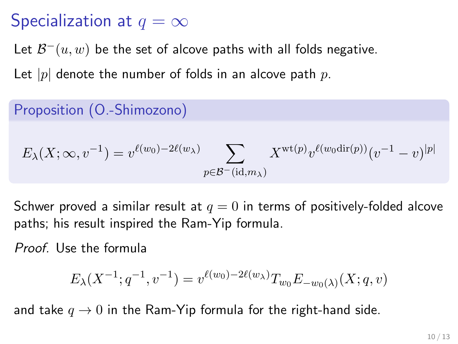# Specialization at  $q = \infty$

Let  $\mathcal{B}^-(u,w)$  be the set of alcove paths with all folds negative.

Let  $|p|$  denote the number of folds in an alcove path p.

#### Proposition (O.-Shimozono)

$$
E_{\lambda}(X; \infty, v^{-1}) = v^{\ell(w_0) - 2\ell(w_{\lambda})} \sum_{p \in \mathcal{B}^-(\mathrm{id}, m_{\lambda})} X^{\mathrm{wt}(p)} v^{\ell(w_0 \mathrm{dir}(p))} (v^{-1} - v)^{|p|}
$$

Schwer proved a similar result at  $q = 0$  in terms of positively-folded alcove paths; his result inspired the Ram-Yip formula.

Proof. Use the formula

$$
E_{\lambda}(X^{-1};q^{-1},v^{-1}) = v^{\ell(w_0)-2\ell(w_{\lambda})}T_{w_0}E_{-w_0(\lambda)}(X;q,v)
$$

and take  $q \to 0$  in the Ram-Yip formula for the right-hand side.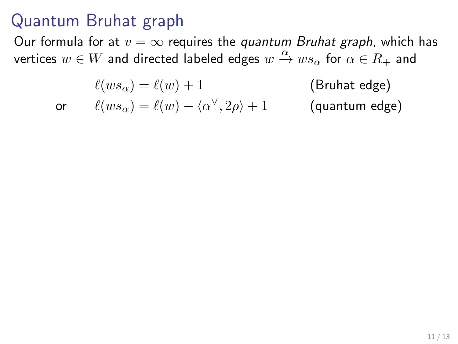#### Quantum Bruhat graph

Our formula for at  $v = \infty$  requires the *quantum Bruhat graph*, which has vertices  $w \in W$  and directed labeled edges  $w \stackrel{\alpha}{\to} w s_\alpha$  for  $\alpha \in R_+$  and

$$
\ell(ws_\alpha) = \ell(w) + 1
$$
 (Bruhat edge)  
or 
$$
\ell(ws_\alpha) = \ell(w) - \langle \alpha^\vee, 2\rho \rangle + 1
$$
 (quantum edge)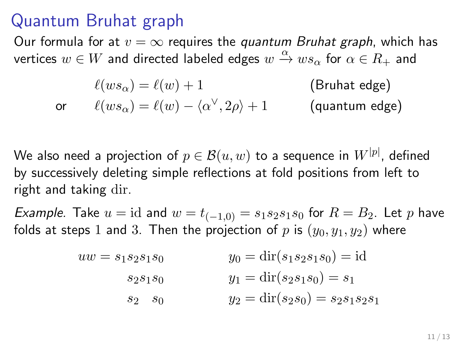#### Quantum Bruhat graph

Our formula for at  $v = \infty$  requires the *quantum Bruhat graph*, which has vertices  $w \in W$  and directed labeled edges  $w \stackrel{\alpha}{\to} w s_\alpha$  for  $\alpha \in R_+$  and

$$
\ell(ws_\alpha) = \ell(w) + 1
$$
 (Bruhat edge)  
or 
$$
\ell(ws_\alpha) = \ell(w) - \langle \alpha^\vee, 2\rho \rangle + 1
$$
 (quantum edge)

We also need a projection of  $p\in \mathcal{B}(u,w)$  to a sequence in  $W^{[p]},$  defined by successively deleting simple reflections at fold positions from left to right and taking dir.

*Example.* Take  $u = id$  and  $w = t_{(-1,0)} = s_1 s_2 s_1 s_0$  for  $R = B_2$ . Let p have folds at steps 1 and 3. Then the projection of p is  $(y_0, y_1, y_2)$  where

$$
uw = s_1 s_2 s_1 s_0
$$
  
\n
$$
s_2 s_1 s_0
$$
  
\n
$$
y_0 = \text{dir}(s_1 s_2 s_1 s_0) = \text{id}
$$
  
\n
$$
y_1 = \text{dir}(s_2 s_1 s_0) = s_1
$$
  
\n
$$
s_2 \quad s_0
$$
  
\n
$$
y_2 = \text{dir}(s_2 s_0) = s_2 s_1 s_2 s_1
$$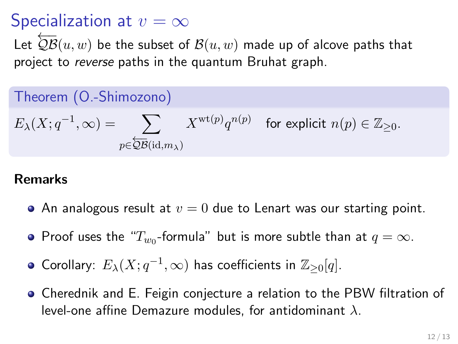### Specialization at  $v = \infty$

Let  $\overleftarrow{QB}(u, w)$  be the subset of  $B(u, w)$  made up of alcove paths that project to reverse paths in the quantum Bruhat graph.

#### Theorem (O.-Shimozono)

$$
E_{\lambda}(X; q^{-1}, \infty) = \sum_{p \in \overline{QB}(\mathrm{id}, m_{\lambda})} X^{\mathrm{wt}(p)} q^{n(p)} \quad \text{for explicit } n(p) \in \mathbb{Z}_{\geq 0}.
$$

#### Remarks

- An analogous result at  $v = 0$  due to Lenart was our starting point.
- Proof uses the " $T_{w_0}$ -formula" but is more subtle than at  $q=\infty.$
- Corollary:  $E_{\lambda}(X;q^{-1},\infty)$  has coefficients in  $\mathbb{Z}_{\geq 0}[q].$
- Cherednik and E. Feigin conjecture a relation to the PBW filtration of level-one affine Demazure modules, for antidominant  $\lambda$ .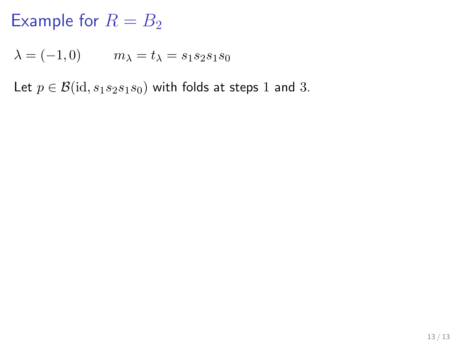$λ = (-1, 0)$   $m<sub>λ</sub> = t<sub>λ</sub> = s<sub>1</sub>s<sub>2</sub>s<sub>1</sub>s<sub>0</sub>$ 

Let  $p \in \mathcal{B}(\text{id}, s_1 s_2 s_1 s_0)$  with folds at steps 1 and 3.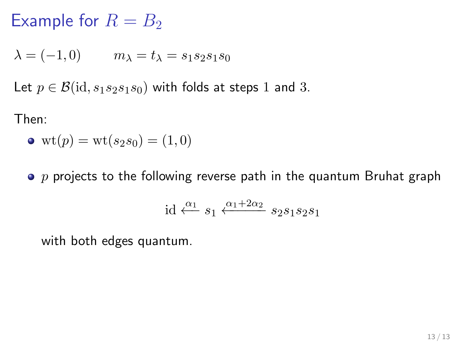$\lambda = (-1, 0)$   $m_{\lambda} = t_{\lambda} = s_1 s_2 s_1 s_0$ 

Let  $p \in \mathcal{B}(\text{id}, s_1 s_2 s_1 s_0)$  with folds at steps 1 and 3.

Then:

• wt
$$
(p)
$$
 = wt $(s_2s_0)$  = (1,0)

 $\bullet$  p projects to the following reverse path in the quantum Bruhat graph

id 
$$
\xleftarrow{\alpha_1} s_1 \xleftarrow{\alpha_1+2\alpha_2} s_2s_1s_2s_1
$$

with both edges quantum.